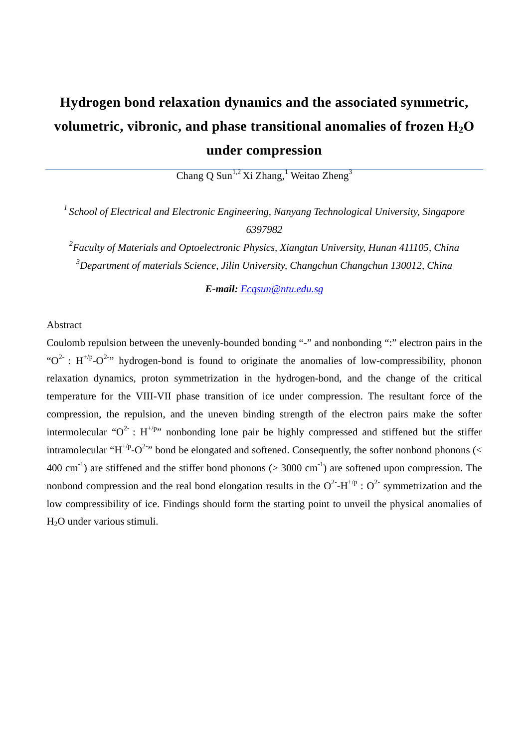# **Hydrogen bond relaxation dynamics and the associated symmetric,**  volumetric, vibronic, and phase transitional anomalies of frozen  $H_2O$ **under compression**

Chang Q Sun<sup>1,2</sup> Xi Zhang,<sup>1</sup> Weitao Zheng<sup>3</sup>

*1 School of Electrical and Electronic Engineering, Nanyang Technological University, Singapore 6397982*

*2 Faculty of Materials and Optoelectronic Physics, Xiangtan University, Hunan 411105, China 3 Department of materials Science, Jilin University, Changchun Changchun 130012, China* 

*E-mail: Ecqsun@ntu.edu.sg*

## Abstract

Coulomb repulsion between the unevenly-bounded bonding "-" and nonbonding ":" electron pairs in the " $O^2$ : H<sup>+/p</sup>- $O^{2-n}$  hydrogen-bond is found to originate the anomalies of low-compressibility, phonon relaxation dynamics, proton symmetrization in the hydrogen-bond, and the change of the critical temperature for the VIII-VII phase transition of ice under compression. The resultant force of the compression, the repulsion, and the uneven binding strength of the electron pairs make the softer intermolecular " $O^2$ : H<sup>+/p</sup>" nonbonding lone pair be highly compressed and stiffened but the stiffer intramolecular "H<sup>+/p</sup>-O<sup>2-</sup>" bond be elongated and softened. Consequently, the softer nonbond phonons (< 400 cm<sup>-1</sup>) are stiffened and the stiffer bond phonons ( $>$  3000 cm<sup>-1</sup>) are softened upon compression. The nonbond compression and the real bond elongation results in the  $O^{2}$ -H<sup>+/p</sup> :  $O^{2}$  symmetrization and the low compressibility of ice. Findings should form the starting point to unveil the physical anomalies of H2O under various stimuli.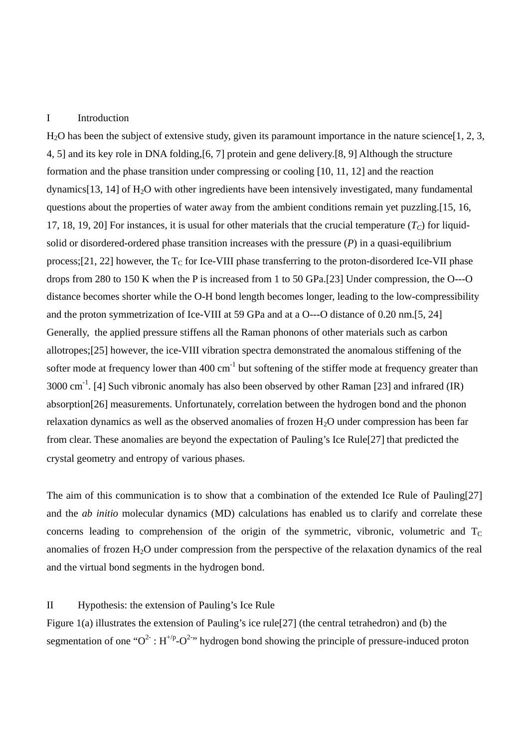### I Introduction

H2O has been the subject of extensive study, given its paramount importance in the nature science[1, 2, 3, 4, 5] and its key role in DNA folding,[6, 7] protein and gene delivery.[8, 9] Although the structure formation and the phase transition under compressing or cooling [10, 11, 12] and the reaction dynamics[13, 14] of  $H_2O$  with other ingredients have been intensively investigated, many fundamental questions about the properties of water away from the ambient conditions remain yet puzzling.[15, 16, 17, 18, 19, 20] For instances, it is usual for other materials that the crucial temperature  $(T_C)$  for liquidsolid or disordered-ordered phase transition increases with the pressure (*P*) in a quasi-equilibrium process;[21, 22] however, the  $T_C$  for Ice-VIII phase transferring to the proton-disordered Ice-VII phase drops from 280 to 150 K when the P is increased from 1 to 50 GPa.[23] Under compression, the O---O distance becomes shorter while the O-H bond length becomes longer, leading to the low-compressibility and the proton symmetrization of Ice-VIII at 59 GPa and at a O---O distance of 0.20 nm.[5, 24] Generally, the applied pressure stiffens all the Raman phonons of other materials such as carbon allotropes;[25] however, the ice-VIII vibration spectra demonstrated the anomalous stiffening of the softer mode at frequency lower than 400 cm<sup>-1</sup> but softening of the stiffer mode at frequency greater than  $3000 \text{ cm}^{-1}$ . [4] Such vibronic anomaly has also been observed by other Raman [23] and infrared (IR) absorption[26] measurements. Unfortunately, correlation between the hydrogen bond and the phonon relaxation dynamics as well as the observed anomalies of frozen  $H_2O$  under compression has been far from clear. These anomalies are beyond the expectation of Pauling's Ice Rule[27] that predicted the crystal geometry and entropy of various phases.

The aim of this communication is to show that a combination of the extended Ice Rule of Pauling[27] and the *ab initio* molecular dynamics (MD) calculations has enabled us to clarify and correlate these concerns leading to comprehension of the origin of the symmetric, vibronic, volumetric and  $T_c$ anomalies of frozen  $H_2O$  under compression from the perspective of the relaxation dynamics of the real and the virtual bond segments in the hydrogen bond.

#### II Hypothesis: the extension of Pauling's Ice Rule

Figure 1(a) illustrates the extension of Pauling's ice rule[27] (the central tetrahedron) and (b) the segmentation of one " $O^2$ :  $H^{+\prime p}$ - $O^{2-\prime}$ " hydrogen bond showing the principle of pressure-induced proton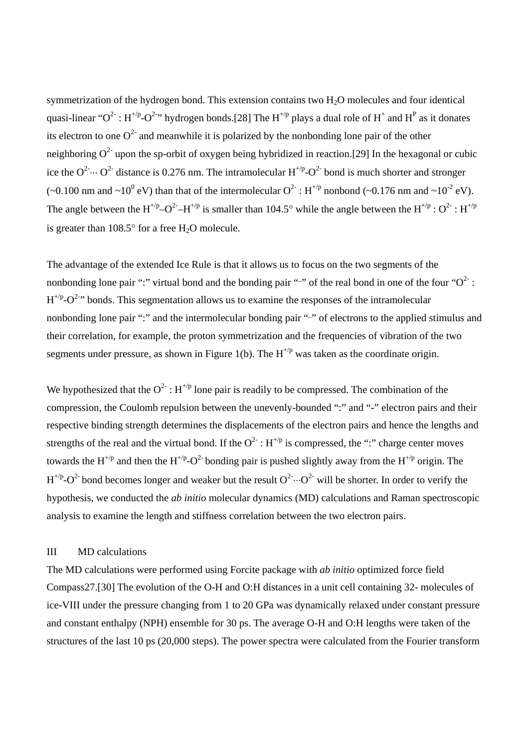symmetrization of the hydrogen bond. This extension contains two H2O molecules and four identical quasi-linear " $O^2$ :  $H^{1/p}$ - $O^{2-n}$  hydrogen bonds.[28] The  $H^{1/p}$  plays a dual role of  $H^+$  and  $H^P$  as it donates its electron to one  $O^2$  and meanwhile it is polarized by the nonbonding lone pair of the other neighboring  $O^2$  upon the sp-orbit of oxygen being hybridized in reaction.[29] In the hexagonal or cubic ice the  $O^2 \cdots O^2$  distance is 0.276 nm. The intramolecular  $H^{1/p} \cdot O^2$  bond is much shorter and stronger (~0.100 nm and ~10<sup>0</sup> eV) than that of the intermolecular  $O^2$ :  $H^{+\prime p}$  nonbond (~0.176 nm and ~10<sup>-2</sup> eV). The angle between the H<sup>+/p</sup>–O<sup>2</sup>-H<sup>+/p</sup> is smaller than 104.5° while the angle between the H<sup>+/p</sup> : O<sup>2</sup> : H<sup>+/p</sup> is greater than  $108.5^{\circ}$  for a free H<sub>2</sub>O molecule.

The advantage of the extended Ice Rule is that it allows us to focus on the two segments of the nonbonding lone pair ":" virtual bond and the bonding pair "-" of the real bond in one of the four " $O^2$ :  $H^{1/p}-O^{2-\gamma}$  bonds. This segmentation allows us to examine the responses of the intramolecular nonbonding lone pair ":" and the intermolecular bonding pair "-" of electrons to the applied stimulus and their correlation, for example, the proton symmetrization and the frequencies of vibration of the two segments under pressure, as shown in Figure 1(b). The  $H^{+/p}$  was taken as the coordinate origin.

We hypothesized that the  $O^2$ :  $H^{+/p}$  lone pair is readily to be compressed. The combination of the compression, the Coulomb repulsion between the unevenly-bounded ":" and "-" electron pairs and their respective binding strength determines the displacements of the electron pairs and hence the lengths and strengths of the real and the virtual bond. If the  $O^2$ :  $H^{+/p}$  is compressed, the ":" charge center moves towards the H<sup>+/p</sup> and then the H<sup>+/p</sup>-O<sup>2-</sup> bonding pair is pushed slightly away from the H<sup>+/p</sup> origin. The  $H^{1/p}-O^2$  bond becomes longer and weaker but the result  $O^2 \cdots O^2$  will be shorter. In order to verify the hypothesis, we conducted the *ab initio* molecular dynamics (MD) calculations and Raman spectroscopic analysis to examine the length and stiffness correlation between the two electron pairs.

## III MD calculations

The MD calculations were performed using Forcite package with *ab initio* optimized force field Compass27.[30] The evolution of the O-H and O:H distances in a unit cell containing 32- molecules of ice-VIII under the pressure changing from 1 to 20 GPa was dynamically relaxed under constant pressure and constant enthalpy (NPH) ensemble for 30 ps. The average O-H and O:H lengths were taken of the structures of the last 10 ps (20,000 steps). The power spectra were calculated from the Fourier transform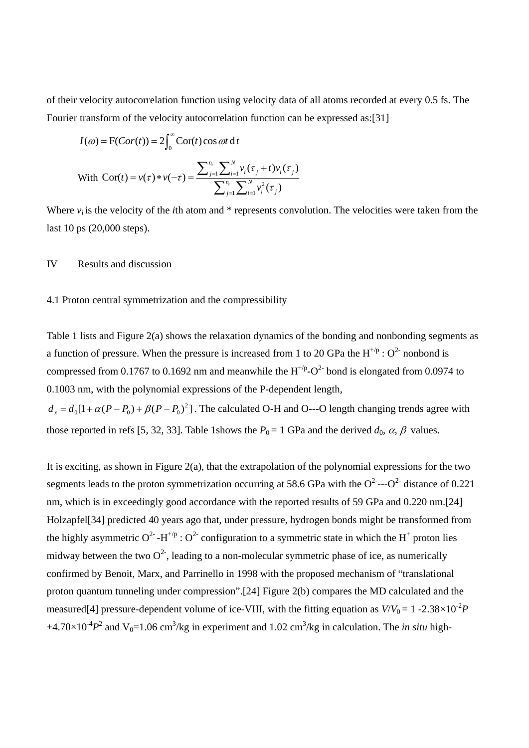of their velocity autocorrelation function using velocity data of all atoms recorded at every 0.5 fs. The Fourier transform of the velocity autocorrelation function can be expressed as:[31]

$$
I(\omega) = F(Cor(t)) = 2\int_0^{\infty} \text{Cor}(t) \cos \omega t \, \mathrm{d}t
$$
  
With  $\text{Cor}(t) = v(\tau) * v(-\tau) = \frac{\sum_{j=1}^{n_i} \sum_{i=1}^{N} v_i(\tau_j + t) v_i(\tau_j)}{\sum_{j=1}^{n_i} \sum_{i=1}^{N} v_i^2(\tau_j)}$ 

Where  $v_i$  is the velocity of the *i*th atom and  $*$  represents convolution. The velocities were taken from the last 10 ps (20,000 steps).

IV Results and discussion

## 4.1 Proton central symmetrization and the compressibility

Table 1 lists and Figure 2(a) shows the relaxation dynamics of the bonding and nonbonding segments as a function of pressure. When the pressure is increased from 1 to 20 GPa the  $H^{+/p}$ :  $O^{2-}$  nonbond is compressed from 0.1767 to 0.1692 nm and meanwhile the  $H^{+/p}-O^2$  bond is elongated from 0.0974 to 0.1003 nm, with the polynomial expressions of the P-dependent length,  $d_x = d_0[1 + \alpha (P - P_0) + \beta (P - P_0)^2]$ . The calculated O-H and O---O length changing trends agree with those reported in refs [5, 32, 33]. Table 1shows the  $P_0 = 1$  GPa and the derived  $d_0$ ,  $\alpha$ ,  $\beta$  values.

It is exciting, as shown in Figure 2(a), that the extrapolation of the polynomial expressions for the two segments leads to the proton symmetrization occurring at 58.6 GPa with the  $O^{2}$ --- $O^{2}$  distance of 0.221 nm, which is in exceedingly good accordance with the reported results of 59 GPa and 0.220 nm.[24] Holzapfel[34] predicted 40 years ago that, under pressure, hydrogen bonds might be transformed from the highly asymmetric O<sup>2</sup> -H<sup>+/p</sup> : O<sup>2</sup> configuration to a symmetric state in which the H<sup>+</sup> proton lies midway between the two  $Q^2$ , leading to a non-molecular symmetric phase of ice, as numerically confirmed by Benoit, Marx, and Parrinello in 1998 with the proposed mechanism of "translational proton quantum tunneling under compression".[24] Figure 2(b) compares the MD calculated and the measured<sup>[4]</sup> pressure-dependent volume of ice-VIII, with the fitting equation as  $V/V_0 = 1 - 2.38 \times 10^{-2} P$  $+4.70\times10^{4}P^{2}$  and V<sub>0</sub>=1.06 cm<sup>3</sup>/kg in experiment and 1.02 cm<sup>3</sup>/kg in calculation. The *in situ* high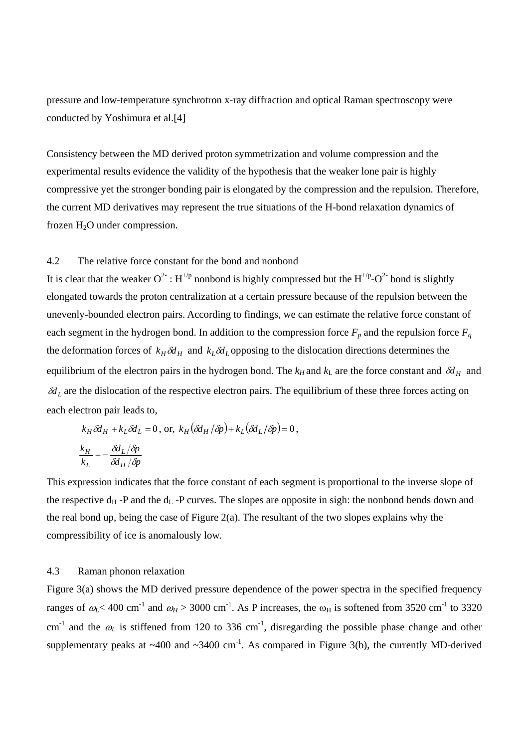pressure and low-temperature synchrotron x-ray diffraction and optical Raman spectroscopy were conducted by Yoshimura et al.[4]

Consistency between the MD derived proton symmetrization and volume compression and the experimental results evidence the validity of the hypothesis that the weaker lone pair is highly compressive yet the stronger bonding pair is elongated by the compression and the repulsion. Therefore, the current MD derivatives may represent the true situations of the H-bond relaxation dynamics of frozen H2O under compression.

## 4.2 The relative force constant for the bond and nonbond

It is clear that the weaker  $O^2$ :  $H^{1/p}$  nonbond is highly compressed but the  $H^{1/p}-O^2$  bond is slightly elongated towards the proton centralization at a certain pressure because of the repulsion between the unevenly-bounded electron pairs. According to findings, we can estimate the relative force constant of each segment in the hydrogen bond. In addition to the compression force  $F_p$  and the repulsion force  $F_q$ the deformation forces of  $k_H \delta d_H$  and  $k_L \delta d_L$  opposing to the dislocation directions determines the equilibrium of the electron pairs in the hydrogen bond. The  $k_H$  and  $k_L$  are the force constant and  $\delta d_H$  and  $\delta d<sub>L</sub>$  are the dislocation of the respective electron pairs. The equilibrium of these three forces acting on each electron pair leads to,

$$
k_H \, \delta d_H + k_L \delta d_L = 0, \text{ or, } k_H (\delta d_H / \delta p) + k_L (\delta d_L / \delta p) = 0,
$$
  

$$
\frac{k_H}{k_L} = -\frac{\delta d_L / \delta p}{\delta d_H / \delta p}
$$

This expression indicates that the force constant of each segment is proportional to the inverse slope of the respective  $d_H$  -P and the  $d_L$  -P curves. The slopes are opposite in sigh: the nonbond bends down and the real bond up, being the case of Figure  $2(a)$ . The resultant of the two slopes explains why the compressibility of ice is anomalously low.

## 4.3 Raman phonon relaxation

Figure 3(a) shows the MD derived pressure dependence of the power spectra in the specified frequency ranges of  $\omega$ <sub>K</sub> < 400 cm<sup>-1</sup> and  $\omega$ <sub>H</sub> > 3000 cm<sup>-1</sup>. As P increases, the  $\omega$ <sub>H</sub> is softened from 3520 cm<sup>-1</sup> to 3320 cm<sup>-1</sup> and the  $\omega_L$  is stiffened from 120 to 336 cm<sup>-1</sup>, disregarding the possible phase change and other supplementary peaks at  $\sim$ 400 and  $\sim$ 3400 cm<sup>-1</sup>. As compared in Figure 3(b), the currently MD-derived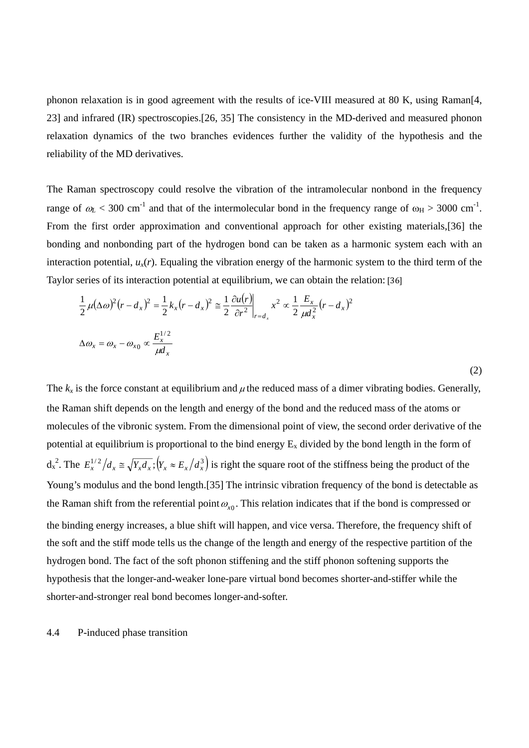phonon relaxation is in good agreement with the results of ice-VIII measured at 80 K, using Raman[4, 23] and infrared (IR) spectroscopies.[26, 35] The consistency in the MD-derived and measured phonon relaxation dynamics of the two branches evidences further the validity of the hypothesis and the reliability of the MD derivatives.

The Raman spectroscopy could resolve the vibration of the intramolecular nonbond in the frequency range of  $\omega_L$  < 300 cm<sup>-1</sup> and that of the intermolecular bond in the frequency range of  $\omega_H$  > 3000 cm<sup>-1</sup>. From the first order approximation and conventional approach for other existing materials,[36] the bonding and nonbonding part of the hydrogen bond can be taken as a harmonic system each with an interaction potential,  $u_x(r)$ . Equaling the vibration energy of the harmonic system to the third term of the Taylor series of its interaction potential at equilibrium, we can obtain the relation: [36]

$$
\frac{1}{2}\mu(\Delta\omega)^2(r-d_x)^2 = \frac{1}{2}k_x(r-d_x)^2 \approx \frac{1}{2}\frac{\partial u(r)}{\partial r^2}\Big|_{r=d_x} x^2 \propto \frac{1}{2}\frac{E_x}{\mu d_x^2}(r-d_x)^2
$$
  

$$
\Delta\omega_x = \omega_x - \omega_{x0} \propto \frac{E_x^{1/2}}{\mu d_x}
$$

(2)

The  $k_x$  is the force constant at equilibrium and  $\mu$  the reduced mass of a dimer vibrating bodies. Generally, the Raman shift depends on the length and energy of the bond and the reduced mass of the atoms or molecules of the vibronic system. From the dimensional point of view, the second order derivative of the potential at equilibrium is proportional to the bind energy  $E_x$  divided by the bond length in the form of  $d_x^2$ . The  $E_x^{1/2}/d_x \approx \sqrt{Y_x d_x}$ ;  $(Y_x \approx E_x/d_x^3)$  is right the square root of the stiffness being the product of the Young's modulus and the bond length.[35] The intrinsic vibration frequency of the bond is detectable as the Raman shift from the referential point  $\omega_{x0}$ . This relation indicates that if the bond is compressed or the binding energy increases, a blue shift will happen, and vice versa. Therefore, the frequency shift of the soft and the stiff mode tells us the change of the length and energy of the respective partition of the hydrogen bond. The fact of the soft phonon stiffening and the stiff phonon softening supports the hypothesis that the longer-and-weaker lone-pare virtual bond becomes shorter-and-stiffer while the shorter-and-stronger real bond becomes longer-and-softer.

#### 4.4 P-induced phase transition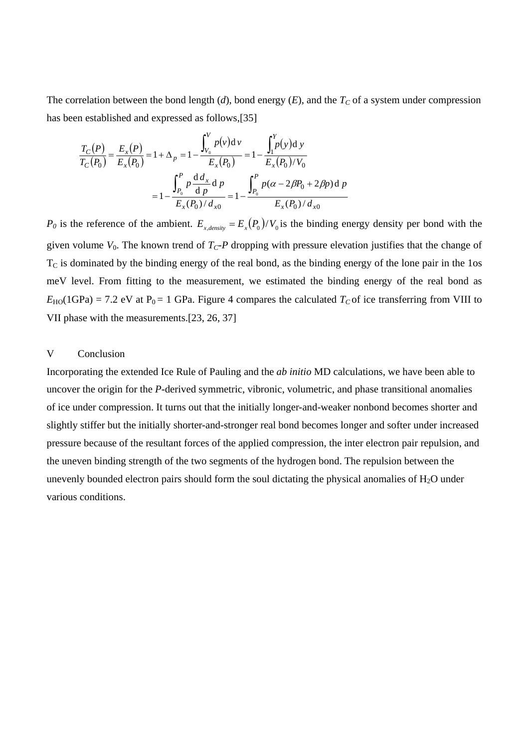The correlation between the bond length (*d*), bond energy (*E*), and the  $T_C$  of a system under compression has been established and expressed as follows,[35]

$$
\frac{T_C(P)}{T_C(P_0)} = \frac{E_x(P)}{E_x(P_0)} = 1 + \Delta_p = 1 - \frac{\int_{V_0}^{V} p(v) dv}{E_x(P_0)} = 1 - \frac{\int_{I}^{Y} p(y) dv}{E_x(P_0) / V_0}
$$

$$
= 1 - \frac{\int_{P_0}^{P} p \frac{d \, d_x}{d \, p}}{E_x(P_0) / d_{x0}} = 1 - \frac{\int_{P_0}^{P} p(\alpha - 2\beta P_0 + 2\beta p) d \, p}{E_x(P_0) / d_{x0}}
$$

 $P_0$  is the reference of the ambient.  $E_{x, density} = E_x(P_0)/V_0$  is the binding energy density per bond with the given volume  $V_0$ . The known trend of  $T_C$ -*P* dropping with pressure elevation justifies that the change of  $T<sub>C</sub>$  is dominated by the binding energy of the real bond, as the binding energy of the lone pair in the 1os meV level. From fitting to the measurement, we estimated the binding energy of the real bond as  $E_{\text{HO}}(1GPa) = 7.2$  eV at P<sub>0</sub> = 1 GPa. Figure 4 compares the calculated  $T_C$  of ice transferring from VIII to VII phase with the measurements.[23, 26, 37]

## V Conclusion

Incorporating the extended Ice Rule of Pauling and the *ab initio* MD calculations, we have been able to uncover the origin for the *P*-derived symmetric, vibronic, volumetric, and phase transitional anomalies of ice under compression. It turns out that the initially longer-and-weaker nonbond becomes shorter and slightly stiffer but the initially shorter-and-stronger real bond becomes longer and softer under increased pressure because of the resultant forces of the applied compression, the inter electron pair repulsion, and the uneven binding strength of the two segments of the hydrogen bond. The repulsion between the unevenly bounded electron pairs should form the soul dictating the physical anomalies of  $H_2O$  under various conditions.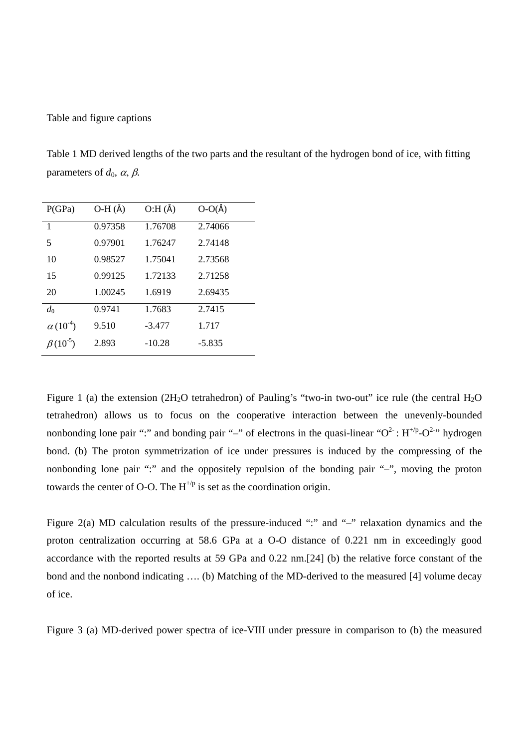## Table and figure captions

Table 1 MD derived lengths of the two parts and the resultant of the hydrogen bond of ice, with fitting parameters of  $d_0$ ,  $\alpha$ ,  $\beta$ .

| P(GPa)            | $O-H(\AA)$ | O:H(A)   | $O-O(\AA)$ |
|-------------------|------------|----------|------------|
| 1                 | 0.97358    | 1.76708  | 2.74066    |
| 5                 | 0.97901    | 1.76247  | 2.74148    |
| 10                | 0.98527    | 1.75041  | 2.73568    |
| 15                | 0.99125    | 1.72133  | 2.71258    |
| 20                | 1.00245    | 1.6919   | 2.69435    |
| $d_0$             | 0.9741     | 1.7683   | 2.7415     |
| $\alpha(10^{-4})$ | 9.510      | $-3.477$ | 1.717      |
| $\beta(10^{-5})$  | 2.893      | $-10.28$ | $-5.835$   |
|                   |            |          |            |

Figure 1 (a) the extension (2H<sub>2</sub>O tetrahedron) of Pauling's "two-in two-out" ice rule (the central H<sub>2</sub>O tetrahedron) allows us to focus on the cooperative interaction between the unevenly-bounded nonbonding lone pair ":" and bonding pair "-" of electrons in the quasi-linear " $O^2$ :  $H^{1/p}-O^{2-p}$  hydrogen bond. (b) The proton symmetrization of ice under pressures is induced by the compressing of the nonbonding lone pair ":" and the oppositely repulsion of the bonding pair "–", moving the proton towards the center of O-O. The  $H^{+\prime p}$  is set as the coordination origin.

Figure 2(a) MD calculation results of the pressure-induced ":" and "-" relaxation dynamics and the proton centralization occurring at 58.6 GPa at a O-O distance of 0.221 nm in exceedingly good accordance with the reported results at 59 GPa and 0.22 nm.[24] (b) the relative force constant of the bond and the nonbond indicating …. (b) Matching of the MD-derived to the measured [4] volume decay of ice.

Figure 3 (a) MD-derived power spectra of ice-VIII under pressure in comparison to (b) the measured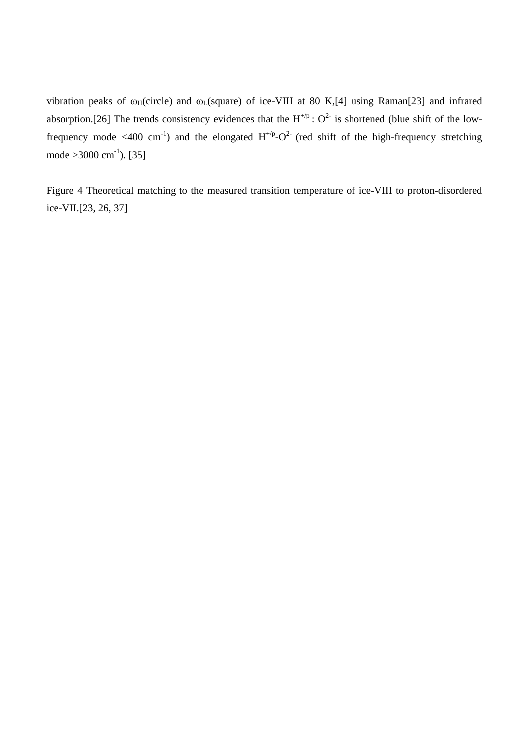vibration peaks of  $\omega_H$ (circle) and  $\omega_L$ (square) of ice-VIII at 80 K,[4] using Raman[23] and infrared absorption.[26] The trends consistency evidences that the  $H^{+}/p$  :  $O^2$  is shortened (blue shift of the lowfrequency mode <400 cm<sup>-1</sup>) and the elongated  $H^{+/p}-O^2$  (red shift of the high-frequency stretching mode  $>3000 \text{ cm}^{-1}$ ). [35]

Figure 4 Theoretical matching to the measured transition temperature of ice-VIII to proton-disordered ice-VII.[23, 26, 37]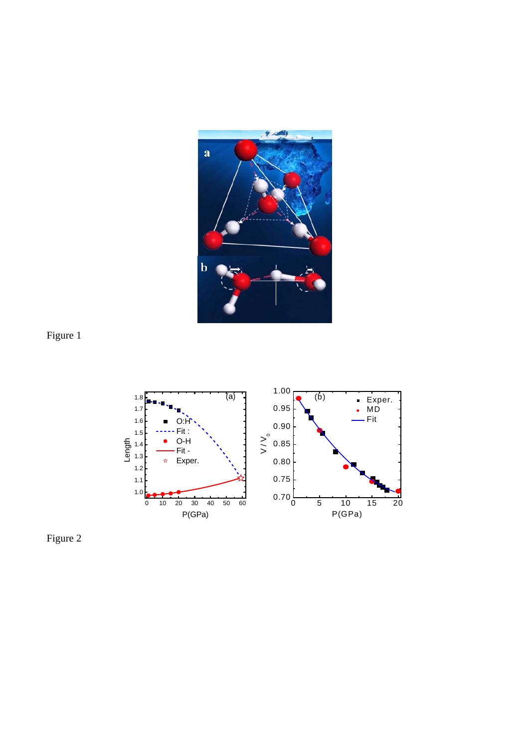





Figure 2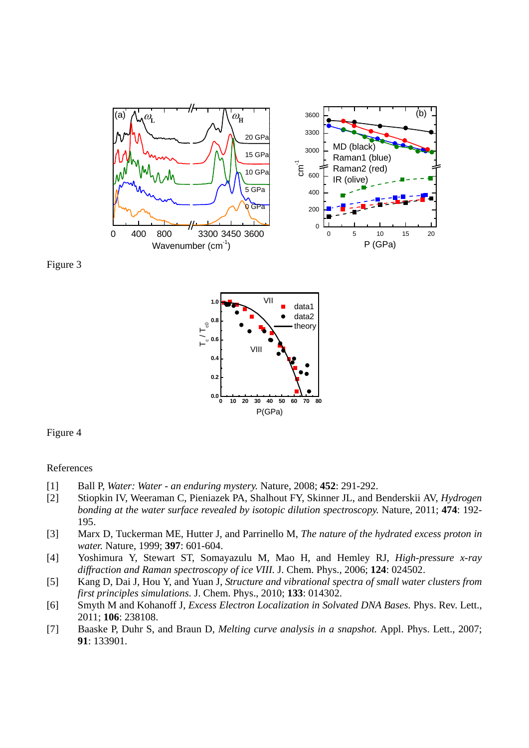





Figure 4

#### References

- [1] Ball P, *Water: Water an enduring mystery.* Nature, 2008; **452**: 291-292.
- [2] Stiopkin IV, Weeraman C, Pieniazek PA, Shalhout FY, Skinner JL, and Benderskii AV, *Hydrogen bonding at the water surface revealed by isotopic dilution spectroscopy.* Nature, 2011; **474**: 192- 195.
- [3] Marx D, Tuckerman ME, Hutter J, and Parrinello M, *The nature of the hydrated excess proton in water.* Nature, 1999; **397**: 601-604.
- [4] Yoshimura Y, Stewart ST, Somayazulu M, Mao H, and Hemley RJ, *High-pressure x-ray diffraction and Raman spectroscopy of ice VIII.* J. Chem. Phys., 2006; **124**: 024502.
- [5] Kang D, Dai J, Hou Y, and Yuan J, *Structure and vibrational spectra of small water clusters from first principles simulations.* J. Chem. Phys., 2010; **133**: 014302.
- [6] Smyth M and Kohanoff J, *Excess Electron Localization in Solvated DNA Bases.* Phys. Rev. Lett., 2011; **106**: 238108.
- [7] Baaske P, Duhr S, and Braun D, *Melting curve analysis in a snapshot.* Appl. Phys. Lett., 2007; **91**: 133901.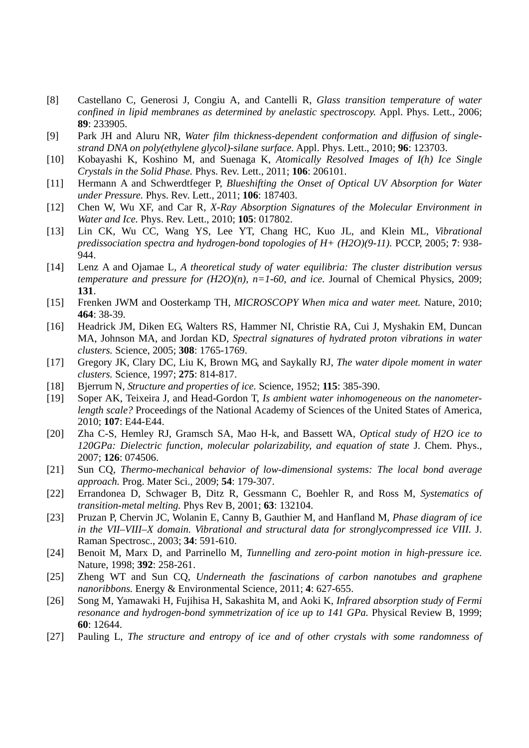- [8] Castellano C, Generosi J, Congiu A, and Cantelli R, *Glass transition temperature of water confined in lipid membranes as determined by anelastic spectroscopy.* Appl. Phys. Lett., 2006; **89**: 233905.
- [9] Park JH and Aluru NR, *Water film thickness-dependent conformation and diffusion of singlestrand DNA on poly(ethylene glycol)-silane surface.* Appl. Phys. Lett., 2010; **96**: 123703.
- [10] Kobayashi K, Koshino M, and Suenaga K, *Atomically Resolved Images of I(h) Ice Single Crystals in the Solid Phase.* Phys. Rev. Lett., 2011; **106**: 206101.
- [11] Hermann A and Schwerdtfeger P, *Blueshifting the Onset of Optical UV Absorption for Water under Pressure.* Phys. Rev. Lett., 2011; **106**: 187403.
- [12] Chen W, Wu XF, and Car R, *X-Ray Absorption Signatures of the Molecular Environment in Water and Ice.* Phys. Rev. Lett., 2010; **105**: 017802.
- [13] Lin CK, Wu CC, Wang YS, Lee YT, Chang HC, Kuo JL, and Klein ML, *Vibrational predissociation spectra and hydrogen-bond topologies of H+ (H2O)(9-11).* PCCP, 2005; **7**: 938- 944.
- [14] Lenz A and Ojamae L, *A theoretical study of water equilibria: The cluster distribution versus temperature and pressure for*  $(H2O)(n)$ *, n=1-60, and ice.* Journal of Chemical Physics, 2009; **131**.
- [15] Frenken JWM and Oosterkamp TH, *MICROSCOPY When mica and water meet.* Nature, 2010; **464**: 38-39.
- [16] Headrick JM, Diken EG, Walters RS, Hammer NI, Christie RA, Cui J, Myshakin EM, Duncan MA, Johnson MA, and Jordan KD, *Spectral signatures of hydrated proton vibrations in water clusters.* Science, 2005; **308**: 1765-1769.
- [17] Gregory JK, Clary DC, Liu K, Brown MG, and Saykally RJ, *The water dipole moment in water clusters.* Science, 1997; **275**: 814-817.
- [18] Bjerrum N, *Structure and properties of ice.* Science, 1952; **115**: 385-390.
- [19] Soper AK, Teixeira J, and Head-Gordon T, *Is ambient water inhomogeneous on the nanometerlength scale?* Proceedings of the National Academy of Sciences of the United States of America, 2010; **107**: E44-E44.
- [20] Zha C-S, Hemley RJ, Gramsch SA, Mao H-k, and Bassett WA, *Optical study of H2O ice to*  120GPa: Dielectric function, molecular polarizability, and equation of state J. Chem. Phys., 2007; **126**: 074506.
- [21] Sun CQ, *Thermo-mechanical behavior of low-dimensional systems: The local bond average approach.* Prog. Mater Sci., 2009; **54**: 179-307.
- [22] Errandonea D, Schwager B, Ditz R, Gessmann C, Boehler R, and Ross M, *Systematics of transition-metal melting.* Phys Rev B, 2001; **63**: 132104.
- [23] Pruzan P, Chervin JC, Wolanin E, Canny B, Gauthier M, and Hanfland M, *Phase diagram of ice in the VII–VIII–X domain. Vibrational and structural data for stronglycompressed ice VIII.* J. Raman Spectrosc., 2003; **34**: 591-610.
- [24] Benoit M, Marx D, and Parrinello M, *Tunnelling and zero-point motion in high-pressure ice.* Nature, 1998; **392**: 258-261.
- [25] Zheng WT and Sun CQ, *Underneath the fascinations of carbon nanotubes and graphene nanoribbons.* Energy & Environmental Science, 2011; **4**: 627-655.
- [26] Song M, Yamawaki H, Fujihisa H, Sakashita M, and Aoki K, *Infrared absorption study of Fermi resonance and hydrogen-bond symmetrization of ice up to 141 GPa.* Physical Review B, 1999; **60**: 12644.
- [27] Pauling L, *The structure and entropy of ice and of other crystals with some randomness of*